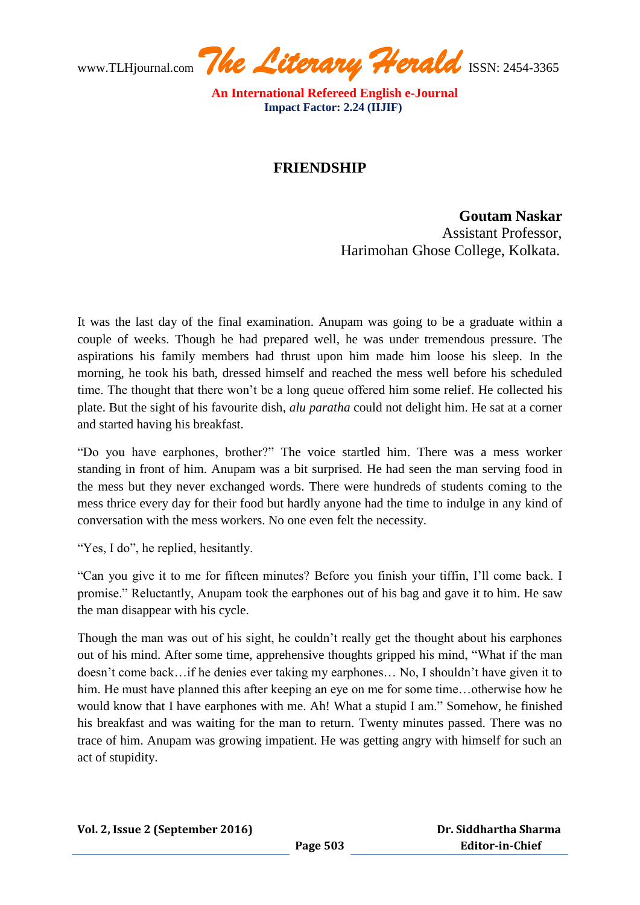www.TLHjournal.com **The Literary Herald** ISSN: 2454-3365

 **An International Refereed English e-Journal Impact Factor: 2.24 (IIJIF)**

## **FRIENDSHIP**

**Goutam Naskar** Assistant Professor, Harimohan Ghose College, Kolkata.

It was the last day of the final examination. Anupam was going to be a graduate within a couple of weeks. Though he had prepared well, he was under tremendous pressure. The aspirations his family members had thrust upon him made him loose his sleep. In the morning, he took his bath, dressed himself and reached the mess well before his scheduled time. The thought that there won't be a long queue offered him some relief. He collected his plate. But the sight of his favourite dish, *alu paratha* could not delight him. He sat at a corner and started having his breakfast.

"Do you have earphones, brother?" The voice startled him. There was a mess worker standing in front of him. Anupam was a bit surprised. He had seen the man serving food in the mess but they never exchanged words. There were hundreds of students coming to the mess thrice every day for their food but hardly anyone had the time to indulge in any kind of conversation with the mess workers. No one even felt the necessity.

"Yes, I do", he replied, hesitantly.

"Can you give it to me for fifteen minutes? Before you finish your tiffin, I'll come back. I promise." Reluctantly, Anupam took the earphones out of his bag and gave it to him. He saw the man disappear with his cycle.

Though the man was out of his sight, he couldn't really get the thought about his earphones out of his mind. After some time, apprehensive thoughts gripped his mind, "What if the man doesn't come back…if he denies ever taking my earphones… No, I shouldn't have given it to him. He must have planned this after keeping an eye on me for some time...otherwise how he would know that I have earphones with me. Ah! What a stupid I am." Somehow, he finished his breakfast and was waiting for the man to return. Twenty minutes passed. There was no trace of him. Anupam was growing impatient. He was getting angry with himself for such an act of stupidity.